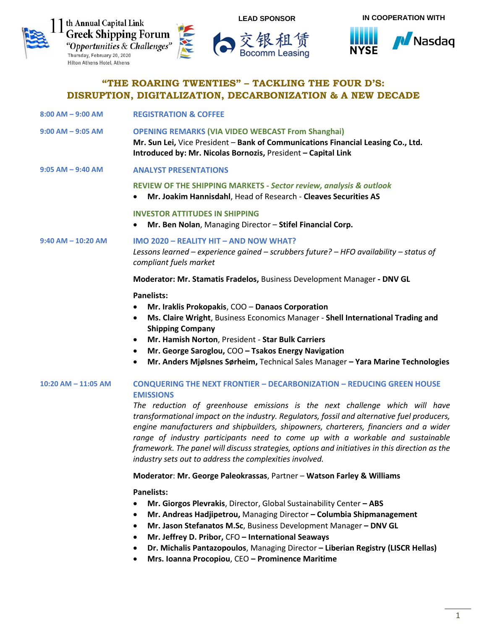



**8:00 AM – 9:00 AM REGISTRATION & COFFEE**

交银租赁<br>Bocomm Leasing



# **"THE ROARING TWENTIES" – TACKLING THE FOUR D'S: DISRUPTION, DIGITALIZATION, DECARBONIZATION & A NEW DECADE**

| $9:00$ AM $-$ 9:05 AM   | <b>OPENING REMARKS (VIA VIDEO WEBCAST From Shanghai)</b><br>Mr. Sun Lei, Vice President - Bank of Communications Financial Leasing Co., Ltd.<br>Introduced by: Mr. Nicolas Bornozis, President - Capital Link                                                                                                                                                                                                                                                                                                                                                                                                          |
|-------------------------|------------------------------------------------------------------------------------------------------------------------------------------------------------------------------------------------------------------------------------------------------------------------------------------------------------------------------------------------------------------------------------------------------------------------------------------------------------------------------------------------------------------------------------------------------------------------------------------------------------------------|
| $9:05$ AM $-$ 9:40 AM   | <b>ANALYST PRESENTATIONS</b>                                                                                                                                                                                                                                                                                                                                                                                                                                                                                                                                                                                           |
|                         | REVIEW OF THE SHIPPING MARKETS - Sector review, analysis & outlook<br>Mr. Joakim Hannisdahl, Head of Research - Cleaves Securities AS<br>$\bullet$                                                                                                                                                                                                                                                                                                                                                                                                                                                                     |
|                         | <b>INVESTOR ATTITUDES IN SHIPPING</b><br>Mr. Ben Nolan, Managing Director - Stifel Financial Corp.<br>$\bullet$                                                                                                                                                                                                                                                                                                                                                                                                                                                                                                        |
| $9:40$ AM $-$ 10:20 AM  | IMO 2020 - REALITY HIT - AND NOW WHAT?<br>Lessons learned – experience gained – scrubbers future? – HFO availability – status of<br>compliant fuels market                                                                                                                                                                                                                                                                                                                                                                                                                                                             |
|                         | Moderator: Mr. Stamatis Fradelos, Business Development Manager - DNV GL                                                                                                                                                                                                                                                                                                                                                                                                                                                                                                                                                |
|                         | <b>Panelists:</b><br>Mr. Iraklis Prokopakis, COO - Danaos Corporation<br>Ms. Claire Wright, Business Economics Manager - Shell International Trading and<br>$\bullet$<br><b>Shipping Company</b><br>Mr. Hamish Norton, President - Star Bulk Carriers<br>$\bullet$<br>Mr. George Saroglou, COO - Tsakos Energy Navigation<br>$\bullet$<br>Mr. Anders Mjølsnes Sørheim, Technical Sales Manager - Yara Marine Technologies<br>$\bullet$                                                                                                                                                                                 |
| $10:20$ AM $- 11:05$ AM | <b>CONQUERING THE NEXT FRONTIER - DECARBONIZATION - REDUCING GREEN HOUSE</b><br><b>EMISSIONS</b><br>The reduction of greenhouse emissions is the next challenge which will have<br>transformational impact on the industry. Regulators, fossil and alternative fuel producers,<br>engine manufacturers and shipbuilders, shipowners, charterers, financiers and a wider<br>range of industry participants need to come up with a workable and sustainable<br>framework. The panel will discuss strategies, options and initiatives in this direction as the<br>industry sets out to address the complexities involved. |

#### **Moderator**: **Mr. George Paleokrassas**, Partner – **Watson Farley & Williams**

### **Panelists:**

- **Mr. Giorgos Plevrakis**, Director, Global Sustainability Center **– ABS**
- **Mr. Andreas Hadjipetrou,** Managing Director **– Columbia Shipmanagement**
- **Mr. Jason Stefanatos M.Sc**, Business Development Manager **– DNV GL**
- **Mr. Jeffrey D. Pribor,** CFO **– International Seaways**
- **[Dr. Michalis Pantazopoulos](http://forums.capitallink.com/shipping/2019greece/bios/pantazopoulos.html)**, Managing Director **– Liberian Registry (LISCR Hellas)**
- **Mrs. Ioanna Procopiou**, CEO **– Prominence Maritime**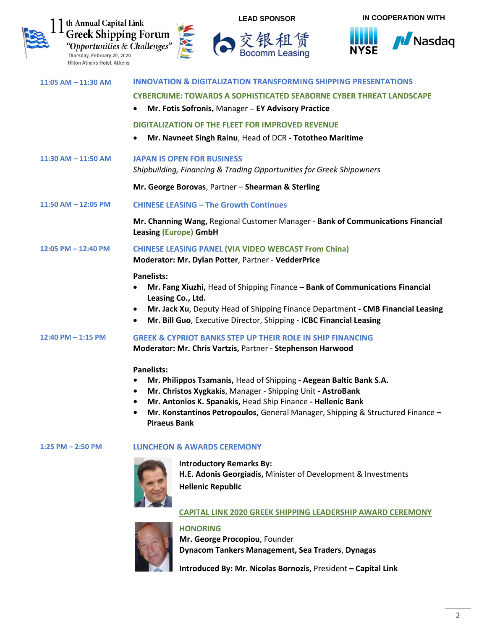



| $11:05$ AM $- 11:30$ AM | <b>INNOVATION &amp; DIGITALIZATION TRANSFORMING SHIPPING PRESENTATIONS</b>                                                                                                       |
|-------------------------|----------------------------------------------------------------------------------------------------------------------------------------------------------------------------------|
|                         | <b>CYBERCRIME: TOWARDS A SOPHISTICATED SEABORNE CYBER THREAT LANDSCAPE</b>                                                                                                       |
|                         | Mr. Fotis Sofronis, Manager - EY Advisory Practice<br>$\bullet$                                                                                                                  |
|                         | <b>DIGITALIZATION OF THE FLEET FOR IMPROVED REVENUE</b>                                                                                                                          |
|                         | Mr. Navneet Singh Rainu, Head of DCR - Tototheo Maritime                                                                                                                         |
| $11:30$ AM $- 11:50$ AM | <b>JAPAN IS OPEN FOR BUSINESS</b><br>Shipbuilding, Financing & Trading Opportunities for Greek Shipowners                                                                        |
|                         | Mr. George Borovas, Partner - Shearman & Sterling                                                                                                                                |
| 11:50 AM - 12:05 PM     | <b>CHINESE LEASING - The Growth Continues</b>                                                                                                                                    |
|                         | Mr. Channing Wang, Regional Customer Manager - Bank of Communications Financial<br><b>Leasing (Europe) GmbH</b>                                                                  |
| 12:05 PM - 12:40 PM     | <b>CHINESE LEASING PANEL (VIA VIDEO WEBCAST From China)</b><br>Moderator: Mr. Dylan Potter, Partner - VedderPrice                                                                |
|                         | <b>Panelists:</b>                                                                                                                                                                |
|                         | Mr. Fang Xiuzhi, Head of Shipping Finance - Bank of Communications Financial<br>Leasing Co., Ltd.                                                                                |
|                         | Mr. Jack Xu, Deputy Head of Shipping Finance Department - CMB Financial Leasing<br>$\bullet$<br>Mr. Bill Guo, Executive Director, Shipping - ICBC Financial Leasing<br>$\bullet$ |
| 12:40 PM $-$ 1:15 PM    | <b>GREEK &amp; CYPRIOT BANKS STEP UP THEIR ROLE IN SHIP FINANCING</b>                                                                                                            |
|                         | Moderator: Mr. Chris Vartzis, Partner - Stephenson Harwood                                                                                                                       |
|                         | <b>Panelists:</b>                                                                                                                                                                |
|                         | Mr. Philippos Tsamanis, Head of Shipping - Aegean Baltic Bank S.A.                                                                                                               |
|                         | Mr. Christos Xygkakis, Manager - Shipping Unit - AstroBank<br>$\bullet$                                                                                                          |
|                         | Mr. Antonios K. Spanakis, Head Ship Finance - Hellenic Bank<br>$\bullet$<br>Mr. Konstantinos Petropoulos, General Manager, Shipping & Structured Finance -                       |
|                         | <b>Piraeus Bank</b>                                                                                                                                                              |

### **1:25 PM – 2:50 PM LUNCHEON & AWARDS CEREMONY**



**Introductory Remarks By: H.E. Adonis Georgiadis,** Minister of Development & Investments **Hellenic Republic**

**CAPITAL LINK 2020 GREEK SHIPPING LEADERSHIP AWARD CEREMONY**



## **HONORING**

**Mr. George Procopiou**, Founder **Dynacom Tankers Management, Sea Traders**, **Dynagas**

**Introduced By: Mr. Nicolas Bornozis,** President **– Capital Link**